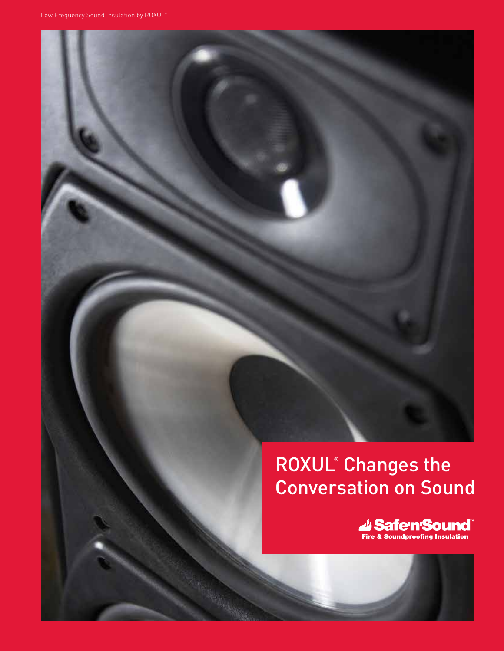# ROXUL<sup>®</sup> Changes the Conversation on Sound

Safen Sound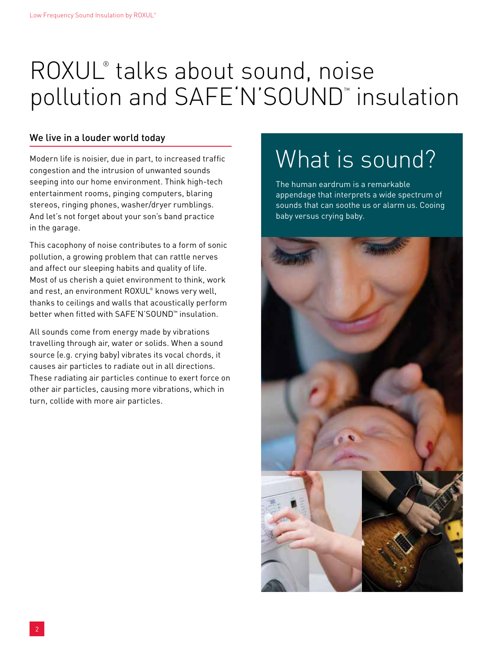# ROXUL<sup>®</sup> talks about sound, noise pollution and SAFE'N'SOUND™ insulation

### We live in a louder world today

Modern life is noisier, due in part, to increased traffic congestion and the intrusion of unwanted sounds seeping into our home environment. Think high-tech entertainment rooms, pinging computers, blaring stereos, ringing phones, washer/dryer rumblings. And let's not forget about your son's band practice in the garage.

This cacophony of noise contributes to a form of sonic pollution, a growing problem that can rattle nerves and affect our sleeping habits and quality of life. Most of us cherish a quiet environment to think, work and rest, an environment ROXUL® knows very well, thanks to ceilings and walls that acoustically perform better when fitted with SAFE'N'SOUND™ insulation.

All sounds come from energy made by vibrations travelling through air, water or solids. When a sound source (e.g. crying baby) vibrates its vocal chords, it causes air particles to radiate out in all directions. These radiating air particles continue to exert force on other air particles, causing more vibrations, which in turn, collide with more air particles.

# What is sound?

The human eardrum is a remarkable appendage that interprets a wide spectrum of sounds that can soothe us or alarm us. Cooing baby versus crying baby.

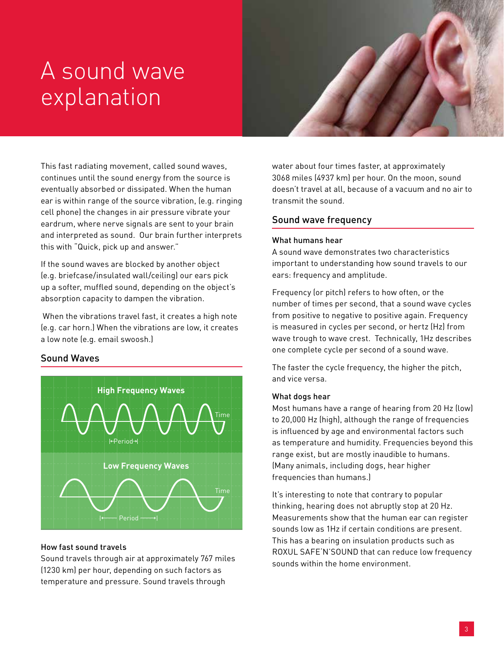# A sound wave explanation



This fast radiating movement, called sound waves, continues until the sound energy from the source is eventually absorbed or dissipated. When the human ear is within range of the source vibration, (e.g. ringing cell phone) the changes in air pressure vibrate your eardrum, where nerve signals are sent to your brain and interpreted as sound. Our brain further interprets this with "Quick, pick up and answer."

If the sound waves are blocked by another object (e.g. briefcase/insulated wall/ceiling) our ears pick up a softer, muffled sound, depending on the object's absorption capacity to dampen the vibration.

 When the vibrations travel fast, it creates a high note (e.g. car horn.) When the vibrations are low, it creates a low note (e.g. email swoosh.)

### Sound Waves



#### How fast sound travels

Sound travels through air at approximately 767 miles (1230 km) per hour, depending on such factors as temperature and pressure. Sound travels through

water about four times faster, at approximately 3068 miles (4937 km) per hour. On the moon, sound doesn't travel at all, because of a vacuum and no air to transmit the sound.

#### Sound wave frequency

#### What humans hear

A sound wave demonstrates two characteristics important to understanding how sound travels to our ears: frequency and amplitude.

Frequency (or pitch) refers to how often, or the number of times per second, that a sound wave cycles from positive to negative to positive again. Frequency is measured in cycles per second, or hertz (Hz) from wave trough to wave crest. Technically, 1Hz describes one complete cycle per second of a sound wave.

The faster the cycle frequency, the higher the pitch, and vice versa.

#### What dogs hear

Most humans have a range of hearing from 20 Hz (low) to 20,000 Hz (high), although the range of frequencies is influenced by age and environmental factors such as temperature and humidity. Frequencies beyond this range exist, but are mostly inaudible to humans. (Many animals, including dogs, hear higher frequencies than humans.)

It's interesting to note that contrary to popular thinking, hearing does not abruptly stop at 20 Hz. Measurements show that the human ear can register sounds low as 1Hz if certain conditions are present. This has a bearing on insulation products such as ROXUL SAFE'N'SOUND that can reduce low frequency sounds within the home environment.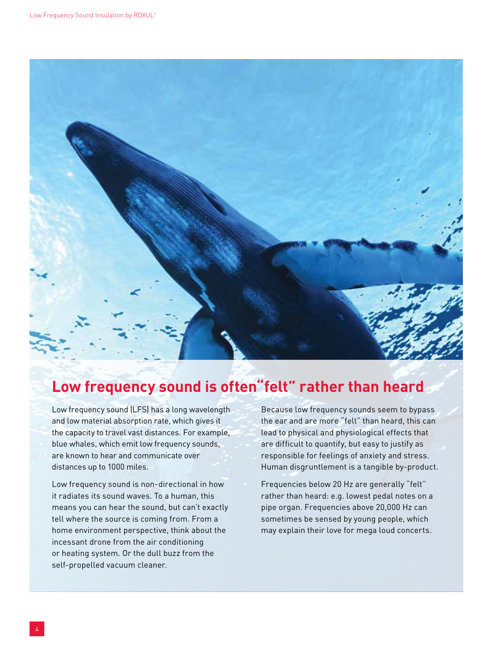

## **Low frequency sound is often"felt" rather than heard**

Low frequency sound (LFS) has a long wavelength and low material absorption rate, which gives it the capacity to travel vast distances. For example, blue whales, which emit low frequency sounds, are known to hear and communicate over distances up to 1000 miles.

Low frequency sound is non-directional in how it radiates its sound waves. To a human, this means you can hear the sound, but can't exactly tell where the source is coming from. From a home environment perspective, think about the incessant drone from the air conditioning or heating system. Or the dull buzz from the self-propelled vacuum cleaner.

Because low frequency sounds seem to bypass the ear and are more "felt" than heard, this can lead to physical and physiological effects that are difficult to quantify, but easy to justify as responsible for feelings of anxiety and stress. Human disgruntlement is a tangible by-product.

Frequencies below 20 Hz are generally "felt" rather than heard: e.g. lowest pedal notes on a pipe organ. Frequencies above 20,000 Hz can sometimes be sensed by young people, which may explain their love for mega loud concerts.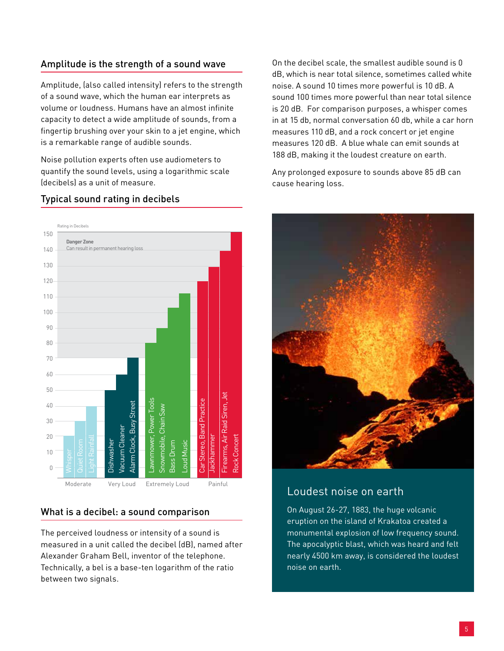### Amplitude is the strength of a sound wave

Amplitude, (also called intensity) refers to the strength of a sound wave, which the human ear interprets as volume or loudness. Humans have an almost infinite capacity to detect a wide amplitude of sounds, from a fingertip brushing over your skin to a jet engine, which is a remarkable range of audible sounds.

Noise pollution experts often use audiometers to quantify the sound levels, using a logarithmic scale (decibels) as a unit of measure.

#### Rating in Decibels 150 **Danger Zone** 140 Can result in permanent hearing loss 130  $120$ 110 100 90  $80$ 70 60 50 Firearms, Air Raid Siren, Jet Firearms, Air Raid Siren, Jet Lawnmower, Power Tools awnmower, Power Tools Car Stereo, Band Practice Car Stereo, Band Practice Alarm Clock, Busy Street  $40$ Alarm Clock, Busy Street Snowmobile, Chain Saw Snowmobile, Chain Saw 30 **Vacuum** Cleaner Vacuum Cleaner 20 Jackhammer Rock Concert lackhammer Rock Concert Dishwasher Dishwasher Quiet Room Bass Drum oud Music Loud Music Bass Drum  $1<sub>0</sub>$ 0 Moderate Very Loud Extremely Loud Painful

#### Typical sound rating in decibels

### What is a decibel: a sound comparison

The perceived loudness or intensity of a sound is measured in a unit called the decibel (dB), named after Alexander Graham Bell, inventor of the telephone. Technically, a bel is a base-ten logarithm of the ratio between two signals.

On the decibel scale, the smallest audible sound is 0 dB, which is near total silence, sometimes called white noise. A sound 10 times more powerful is 10 dB. A sound 100 times more powerful than near total silence is 20 dB. For comparison purposes, a whisper comes in at 15 db, normal conversation 60 db, while a car horn measures 110 dB, and a rock concert or jet engine measures 120 dB. A blue whale can emit sounds at 188 dB, making it the loudest creature on earth.

Any prolonged exposure to sounds above 85 dB can cause hearing loss.



### Loudest noise on earth

On August 26-27, 1883, the huge volcanic eruption on the island of Krakatoa created a monumental explosion of low frequency sound. The apocalyptic blast, which was heard and felt nearly 4500 km away, is considered the loudest noise on earth.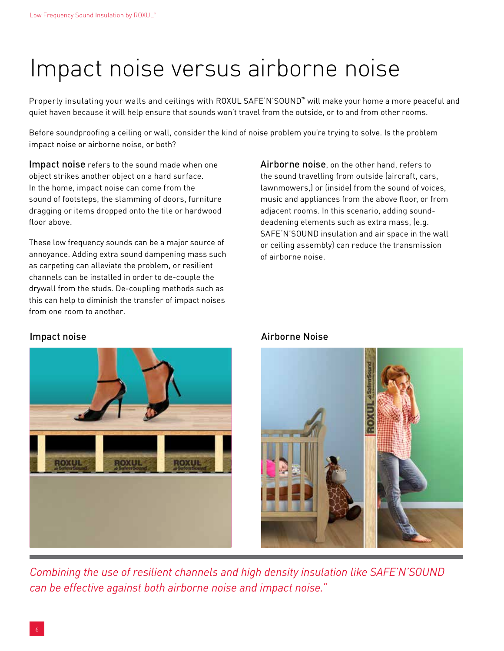# Impact noise versus airborne noise

Properly insulating your walls and ceilings with ROXUL SAFE'N'SOUND™ will make your home a more peaceful and quiet haven because it will help ensure that sounds won't travel from the outside, or to and from other rooms.

Before soundproofing a ceiling or wall, consider the kind of noise problem you're trying to solve. Is the problem impact noise or airborne noise, or both?

Impact noise refers to the sound made when one object strikes another object on a hard surface. In the home, impact noise can come from the sound of footsteps, the slamming of doors, furniture dragging or items dropped onto the tile or hardwood floor above.

These low frequency sounds can be a major source of annoyance. Adding extra sound dampening mass such as carpeting can alleviate the problem, or resilient channels can be installed in order to de-couple the drywall from the studs. De-coupling methods such as this can help to diminish the transfer of impact noises from one room to another.

Airborne noise, on the other hand, refers to the sound travelling from outside (aircraft, cars, lawnmowers,) or (inside) from the sound of voices, music and appliances from the above floor, or from adjacent rooms. In this scenario, adding sounddeadening elements such as extra mass, (e.g. SAFE'N'SOUND insulation and air space in the wall or ceiling assembly) can reduce the transmission of airborne noise.



### Impact noise **Airborne Noise**



*Combining the use of resilient channels and high density insulation like SAFE'n'SOUND can be effective against both airborne noise and impact noise."*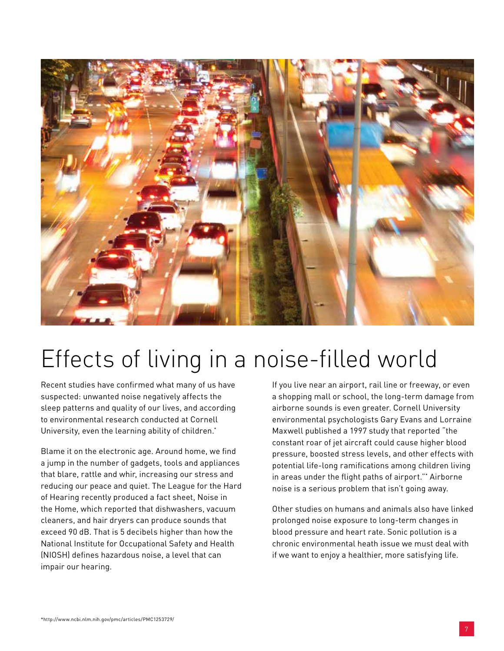

# Effects of living in a noise-filled world

Recent studies have confirmed what many of us have suspected: unwanted noise negatively affects the sleep patterns and quality of our lives, and according to environmental research conducted at Cornell University, even the learning ability of children.\*

Blame it on the electronic age. Around home, we find a jump in the number of gadgets, tools and appliances that blare, rattle and whir, increasing our stress and reducing our peace and quiet. The League for the Hard of Hearing recently produced a fact sheet, Noise in the Home, which reported that dishwashers, vacuum cleaners, and hair dryers can produce sounds that exceed 90 dB. That is 5 decibels higher than how the National Institute for Occupational Safety and Health (NIOSH) defines hazardous noise, a level that can impair our hearing.

If you live near an airport, rail line or freeway, or even a shopping mall or school, the long-term damage from airborne sounds is even greater. Cornell University environmental psychologists Gary Evans and Lorraine Maxwell published a 1997 study that reported "the constant roar of jet aircraft could cause higher blood pressure, boosted stress levels, and other effects with potential life-long ramifications among children living in areas under the flight paths of airport."\* Airborne noise is a serious problem that isn't going away.

Other studies on humans and animals also have linked prolonged noise exposure to long-term changes in blood pressure and heart rate. Sonic pollution is a chronic environmental heath issue we must deal with if we want to enjoy a healthier, more satisfying life.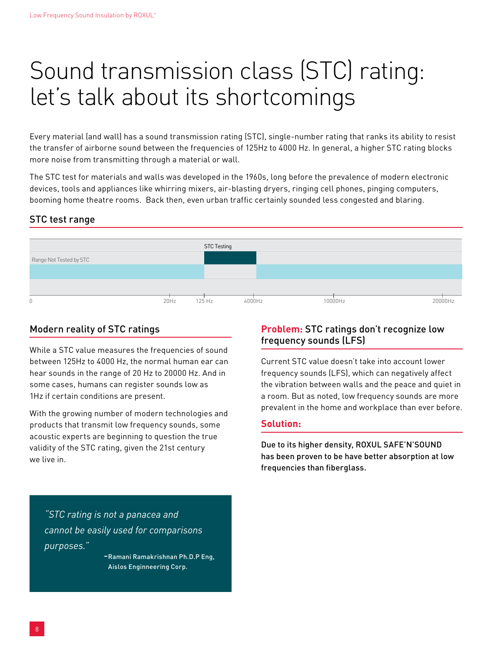# Sound transmission class (STC) rating: let's talk about its shortcomings

Every material (and wall) has a sound transmission rating (STC), single-number rating that ranks its ability to resist the transfer of airborne sound between the frequencies of 125Hz to 4000 Hz. In general, a higher STC rating blocks more noise from transmitting through a material or wall.

The STC test for materials and walls was developed in the 1960s, long before the prevalence of modern electronic devices, tools and appliances like whirring mixers, air-blasting dryers, ringing cell phones, pinging computers, booming home theatre rooms. Back then, even urban traffic certainly sounded less congested and blaring.

### STC test range



### Modern reality of STC ratings

While a STC value measures the frequencies of sound between 125Hz to 4000 Hz, the normal human ear can hear sounds in the range of 20 Hz to 20000 Hz. And in some cases, humans can register sounds low as 1Hz if certain conditions are present.

With the growing number of modern technologies and products that transmit low frequency sounds, some acoustic experts are beginning to question the true validity of the STC rating, given the 21st century we live in.

### **Problem:** STC ratings don't recognize low frequency sounds (LFS)

Current STC value doesn't take into account lower frequency sounds (LFS), which can negatively affect the vibration between walls and the peace and quiet in a room. But as noted, low frequency sounds are more prevalent in the home and workplace than ever before.

#### **Solution:**

Due to its higher density, ROXUL SAFE'N'SOUND has been proven to be have better absorption at low frequencies than fiberglass.

*"STC rating is not a panacea and cannot be easily used for comparisons purposes."* 

 -Ramani Ramakrishnan Ph.D.P Eng, Aislos Enginneering Corp.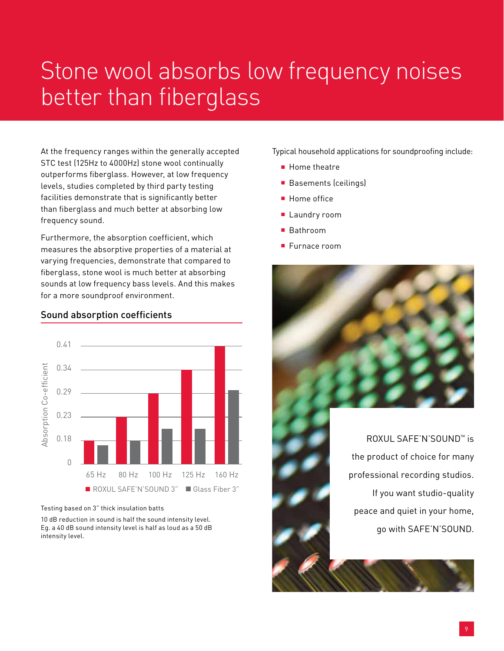# Stone wool absorbs low frequency noises better than fiberglass

At the frequency ranges within the generally accepted STC test (125Hz to 4000Hz) stone wool continually outperforms fiberglass. However, at low frequency levels, studies completed by third party testing facilities demonstrate that is significantly better than fiberglass and much better at absorbing low frequency sound.

Furthermore, the absorption coefficient, which measures the absorptive properties of a material at varying frequencies, demonstrate that compared to fiberglass, stone wool is much better at absorbing sounds at low frequency bass levels. And this makes for a more soundproof environment.

#### Sound absorption coefficients



Testing based on 3" thick insulation batts

10 dB reduction in sound is half the sound intensity level. Eg. a 40 dB sound intensity level is half as loud as a 50 dB intensity level.

Typical household applications for soundproofing include:

- Home theatre
- Basements (ceilings)
- Home office
- Laundry room
- Bathroom
- Furnace room



ROXUL SAFE'N'SOUND™ is the product of choice for many professional recording studios. If you want studio-quality peace and quiet in your home, go with SAFE'N'SOUND.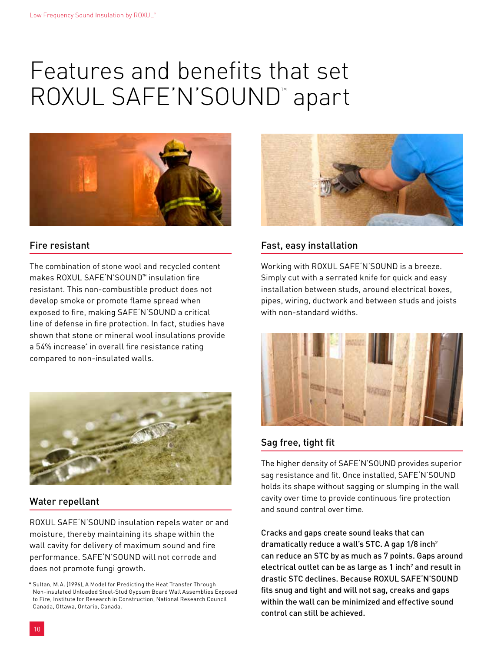# Features and benefits that set ROXUL SAFE'N'SOUND™ apart



#### Fire resistant

The combination of stone wool and recycled content makes ROXUL SAFF'N'SOUND™ insulation fire resistant. This non-combustible product does not develop smoke or promote flame spread when exposed to fire, making SAFE'N'SOUND a critical line of defense in fire protection. In fact, studies have shown that stone or mineral wool insulations provide a 54% increase\* in overall fire resistance rating compared to non-insulated walls.



#### Water repellant

ROXUL SAFE'N'SOUND insulation repels water or and moisture, thereby maintaining its shape within the wall cavity for delivery of maximum sound and fire performance. SAFE'N'SOUND will not corrode and does not promote fungi growth.



### Fast, easy installation

Working with ROXUL SAFE'N'SOUND is a breeze. Simply cut with a serrated knife for quick and easy installation between studs, around electrical boxes, pipes, wiring, ductwork and between studs and joists with non-standard widths.



### Sag free, tight fit

The higher density of SAFE'N'SOUND provides superior sag resistance and fit. Once installed, SAFE'N'SOUND holds its shape without sagging or slumping in the wall cavity over time to provide continuous fire protection and sound control over time.

Cracks and gaps create sound leaks that can dramatically reduce a wall's STC. A gap 1/8 inch2 can reduce an STC by as much as 7 points. Gaps around electrical outlet can be as large as  $1$  inch $^2$  and result in drastic STC declines. Because ROXUL SAFE'N'SOUND fits snug and tight and will not sag, creaks and gaps within the wall can be minimized and effective sound control can still be achieved.

<sup>\*</sup> Sultan, M.A. (1996), A Model for Predicting the Heat Transfer Through Non-insulated Unloaded Steel-Stud Gypsum Board Wall Assemblies Exposed to Fire, Institute for Research in Construction, National Research Council Canada, Ottawa, Ontario, Canada.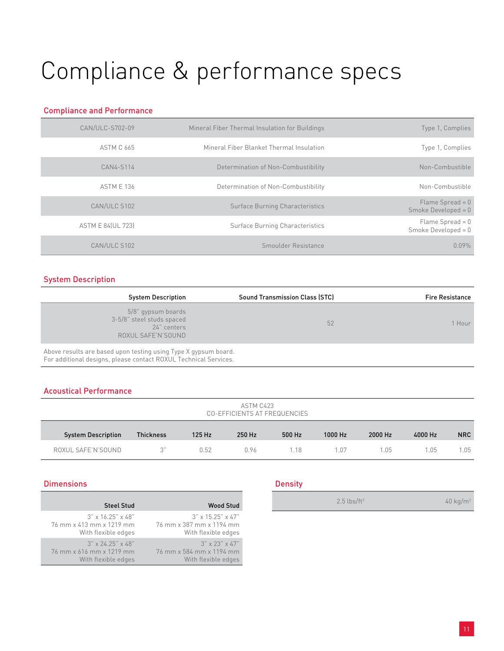# Compliance & performance specs

#### Compliance and Performance

| Type 1, Complies                            | Mineral Fiber Thermal Insulation for Buildings | CAN/ULC-S702-09          |
|---------------------------------------------|------------------------------------------------|--------------------------|
| Type 1, Complies                            | Mineral Fiber Blanket Thermal Insulation       | <b>ASTM C 665</b>        |
| Non-Combustible                             | Determination of Non-Combustibility            | CAN4-S114                |
| Non-Combustible                             | Determination of Non-Combustibility            | <b>ASTM E 136</b>        |
| Flame Spread = $0$<br>Smoke Developed = $0$ | <b>Surface Burning Characteristics</b>         | CAN/ULC S102             |
| Flame Spread = $0$<br>Smoke Developed = $0$ | Surface Burning Characteristics                | <b>ASTM E 84(UL 723)</b> |
| 0.09%                                       | Smoulder Resistance                            | CAN/ULC S102             |

#### System Description

| <b>Sound Transmission Class (STC)</b><br><b>System Description</b>                   | <b>Fire Resistance</b> |
|--------------------------------------------------------------------------------------|------------------------|
| 5/8" gypsum boards<br>3-5/8" steel studs spaced<br>24" centers<br>ROXUL SAFE'N'SOUND | 52<br>  Hour           |

Above results are based upon testing using Type X gypsum board. For additional designs, please contact ROXUL Technical Services.

#### Acoustical Performance

| ASTM C423<br>CO-EFFICIENTS AT FREQUENCIES |                  |        |        |        |         |         |         |            |
|-------------------------------------------|------------------|--------|--------|--------|---------|---------|---------|------------|
| <b>System Description</b>                 | <b>Thickness</b> | 125 Hz | 250 Hz | 500 Hz | 1000 Hz | 2000 Hz | 4000 Hz | <b>NRC</b> |
| ROXUL SAFE'N'SOUND                        |                  | 0.52   | 0.96   | 1 1 8  | 1.07    | 1.05    | 1.05    | l.O5       |

#### **Dimensions**

| <b>Steel Stud</b>                | <b>Wood Stud</b>                 |
|----------------------------------|----------------------------------|
| $3'' \times 16.25'' \times 48''$ | $3'' \times 15.25'' \times 47''$ |
| 76 mm x 413 mm x 1219 mm         | 76 mm x 387 mm x 1194 mm         |
| With flexible edges              | With flexible edges              |
| $3'' \times 2425'' \times 48''$  | $3'' \times 23'' \times 47''$    |
| 76 mm x 616 mm x 1219 mm         | 76 mm x 584 mm x 1194 mm         |
| With flexible edges              | With flexible edges              |

#### **Density**

 $2.5 \text{ lbs/ft}^3$  40 kg/m<sup>3</sup>